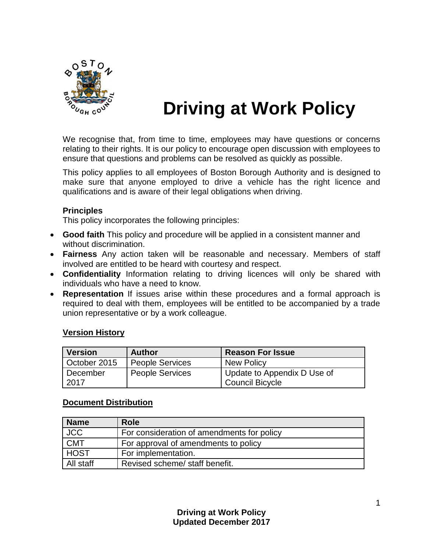

# **Driving at Work Policy**

We recognise that, from time to time, employees may have questions or concerns relating to their rights. It is our policy to encourage open discussion with employees to ensure that questions and problems can be resolved as quickly as possible.

This policy applies to all employees of Boston Borough Authority and is designed to make sure that anyone employed to drive a vehicle has the right licence and qualifications and is aware of their legal obligations when driving.

#### **Principles**

This policy incorporates the following principles:

- **Good faith** This policy and procedure will be applied in a consistent manner and without discrimination.
- **Fairness** Any action taken will be reasonable and necessary. Members of staff involved are entitled to be heard with courtesy and respect.
- **Confidentiality** Information relating to driving licences will only be shared with individuals who have a need to know.
- **Representation** If issues arise within these procedures and a formal approach is required to deal with them, employees will be entitled to be accompanied by a trade union representative or by a work colleague.

#### **Version History**

| <b>Version</b>   | <b>Author</b>          | <b>Reason For Issue</b>                               |
|------------------|------------------------|-------------------------------------------------------|
| October 2015     | <b>People Services</b> | <b>New Policy</b>                                     |
| December<br>2017 | <b>People Services</b> | Update to Appendix D Use of<br><b>Council Bicycle</b> |

#### **Document Distribution**

| <b>Name</b> | <b>Role</b>                                |
|-------------|--------------------------------------------|
| <b>JCC</b>  | For consideration of amendments for policy |
| <b>CMT</b>  | For approval of amendments to policy       |
| <b>HOST</b> | For implementation.                        |
| All staff   | Revised scheme/ staff benefit.             |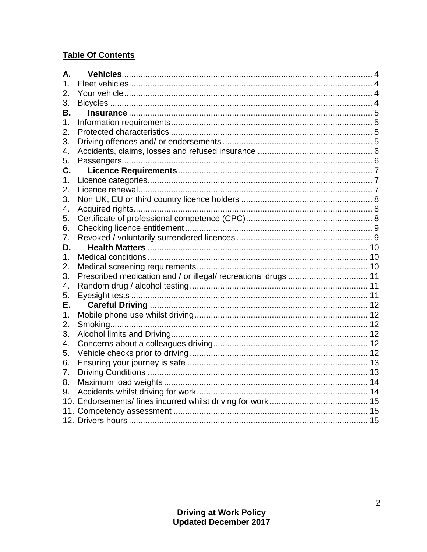## **Table Of Contents**

| А. |                                                                |  |
|----|----------------------------------------------------------------|--|
| 1. |                                                                |  |
| 2. |                                                                |  |
| 3. |                                                                |  |
| В. |                                                                |  |
| 1. |                                                                |  |
| 2. |                                                                |  |
| 3. |                                                                |  |
| 4. |                                                                |  |
| 5. |                                                                |  |
| C. |                                                                |  |
| 1. |                                                                |  |
| 2. |                                                                |  |
| 3. |                                                                |  |
| 4. |                                                                |  |
| 5. |                                                                |  |
| 6. |                                                                |  |
| 7. |                                                                |  |
| D. |                                                                |  |
| 1. |                                                                |  |
| 2. |                                                                |  |
| 3. | Prescribed medication and / or illegal/ recreational drugs  11 |  |
| 4. |                                                                |  |
| 5. |                                                                |  |
| Е. |                                                                |  |
| 1. |                                                                |  |
| 2. |                                                                |  |
| 3. |                                                                |  |
| 4. |                                                                |  |
| 5. |                                                                |  |
| 6. |                                                                |  |
| 7. |                                                                |  |
| 8. |                                                                |  |
| 9. |                                                                |  |
|    |                                                                |  |
|    |                                                                |  |
|    |                                                                |  |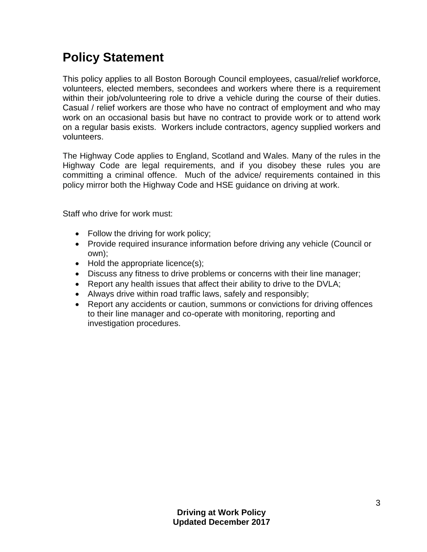## **Policy Statement**

This policy applies to all Boston Borough Council employees, casual/relief workforce, volunteers, elected members, secondees and workers where there is a requirement within their job/volunteering role to drive a vehicle during the course of their duties. Casual / relief workers are those who have no contract of employment and who may work on an occasional basis but have no contract to provide work or to attend work on a regular basis exists. Workers include contractors, agency supplied workers and volunteers.

The Highway Code applies to England, Scotland and Wales. Many of the rules in the Highway Code are legal requirements, and if you disobey these rules you are committing a criminal offence. Much of the advice/ requirements contained in this policy mirror both the Highway Code and HSE guidance on driving at work.

Staff who drive for work must:

- Follow the driving for work policy;
- Provide required insurance information before driving any vehicle (Council or own);
- $\bullet$  Hold the appropriate licence(s);
- Discuss any fitness to drive problems or concerns with their line manager;
- Report any health issues that affect their ability to drive to the DVLA;
- Always drive within road traffic laws, safely and responsibly;
- Report any accidents or caution, summons or convictions for driving offences to their line manager and co-operate with monitoring, reporting and investigation procedures.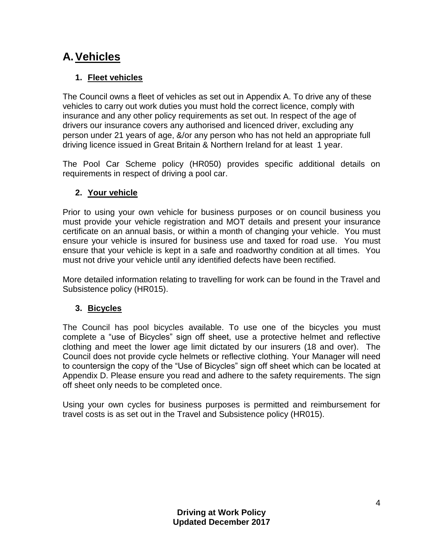## <span id="page-3-0"></span>**A.Vehicles**

## <span id="page-3-1"></span>**1. Fleet vehicles**

The Council owns a fleet of vehicles as set out in Appendix A. To drive any of these vehicles to carry out work duties you must hold the correct licence, comply with insurance and any other policy requirements as set out. In respect of the age of drivers our insurance covers any authorised and licenced driver, excluding any person under 21 years of age, &/or any person who has not held an appropriate full driving licence issued in Great Britain & Northern Ireland for at least 1 year.

The Pool Car Scheme policy (HR050) provides specific additional details on requirements in respect of driving a pool car.

## <span id="page-3-2"></span>**2. Your vehicle**

Prior to using your own vehicle for business purposes or on council business you must provide your vehicle registration and MOT details and present your insurance certificate on an annual basis, or within a month of changing your vehicle. You must ensure your vehicle is insured for business use and taxed for road use. You must ensure that your vehicle is kept in a safe and roadworthy condition at all times. You must not drive your vehicle until any identified defects have been rectified.

More detailed information relating to travelling for work can be found in the Travel and Subsistence policy (HR015).

### <span id="page-3-3"></span>**3. Bicycles**

The Council has pool bicycles available. To use one of the bicycles you must complete a "use of Bicycles" sign off sheet, use a protective helmet and reflective clothing and meet the lower age limit dictated by our insurers (18 and over). The Council does not provide cycle helmets or reflective clothing. Your Manager will need to countersign the copy of the "Use of Bicycles" sign off sheet which can be located at Appendix D. Please ensure you read and adhere to the safety requirements. The sign off sheet only needs to be completed once.

Using your own cycles for business purposes is permitted and reimbursement for travel costs is as set out in the Travel and Subsistence policy (HR015).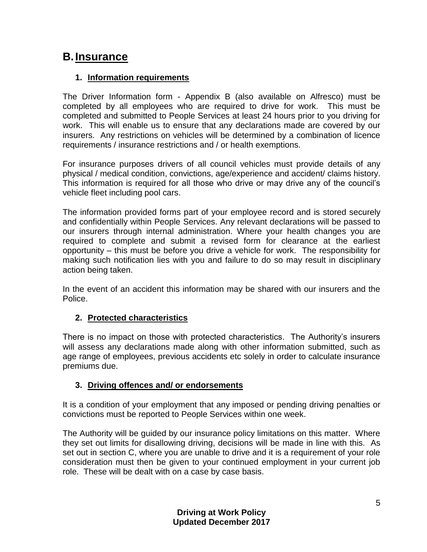## <span id="page-4-0"></span>**B.Insurance**

#### <span id="page-4-1"></span>**1. Information requirements**

The Driver Information form - Appendix B (also available on Alfresco) must be completed by all employees who are required to drive for work. This must be completed and submitted to People Services at least 24 hours prior to you driving for work. This will enable us to ensure that any declarations made are covered by our insurers. Any restrictions on vehicles will be determined by a combination of licence requirements / insurance restrictions and / or health exemptions.

For insurance purposes drivers of all council vehicles must provide details of any physical / medical condition, convictions, age/experience and accident/ claims history. This information is required for all those who drive or may drive any of the council's vehicle fleet including pool cars.

The information provided forms part of your employee record and is stored securely and confidentially within People Services. Any relevant declarations will be passed to our insurers through internal administration. Where your health changes you are required to complete and submit a revised form for clearance at the earliest opportunity – this must be before you drive a vehicle for work. The responsibility for making such notification lies with you and failure to do so may result in disciplinary action being taken.

In the event of an accident this information may be shared with our insurers and the Police.

#### <span id="page-4-2"></span>**2. Protected characteristics**

There is no impact on those with protected characteristics. The Authority's insurers will assess any declarations made along with other information submitted, such as age range of employees, previous accidents etc solely in order to calculate insurance premiums due.

#### <span id="page-4-3"></span>**3. Driving offences and/ or endorsements**

It is a condition of your employment that any imposed or pending driving penalties or convictions must be reported to People Services within one week.

The Authority will be guided by our insurance policy limitations on this matter. Where they set out limits for disallowing driving, decisions will be made in line with this. As set out in section C, where you are unable to drive and it is a requirement of your role consideration must then be given to your continued employment in your current job role. These will be dealt with on a case by case basis.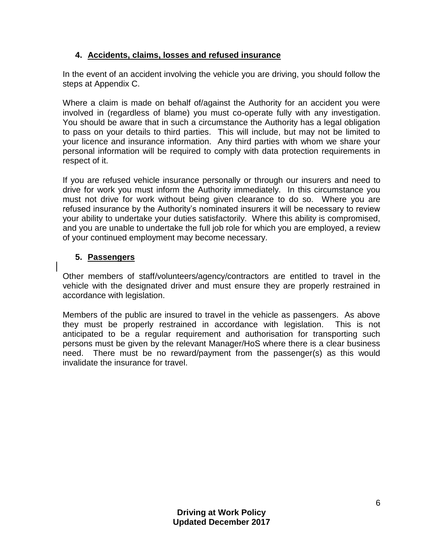#### <span id="page-5-0"></span>**4. Accidents, claims, losses and refused insurance**

In the event of an accident involving the vehicle you are driving, you should follow the steps at Appendix C.

Where a claim is made on behalf of/against the Authority for an accident you were involved in (regardless of blame) you must co-operate fully with any investigation. You should be aware that in such a circumstance the Authority has a legal obligation to pass on your details to third parties. This will include, but may not be limited to your licence and insurance information. Any third parties with whom we share your personal information will be required to comply with data protection requirements in respect of it.

If you are refused vehicle insurance personally or through our insurers and need to drive for work you must inform the Authority immediately. In this circumstance you must not drive for work without being given clearance to do so. Where you are refused insurance by the Authority's nominated insurers it will be necessary to review your ability to undertake your duties satisfactorily. Where this ability is compromised, and you are unable to undertake the full job role for which you are employed, a review of your continued employment may become necessary.

#### <span id="page-5-1"></span>**5. Passengers**

Other members of staff/volunteers/agency/contractors are entitled to travel in the vehicle with the designated driver and must ensure they are properly restrained in accordance with legislation.

Members of the public are insured to travel in the vehicle as passengers. As above they must be properly restrained in accordance with legislation. This is not anticipated to be a regular requirement and authorisation for transporting such persons must be given by the relevant Manager/HoS where there is a clear business need. There must be no reward/payment from the passenger(s) as this would invalidate the insurance for travel.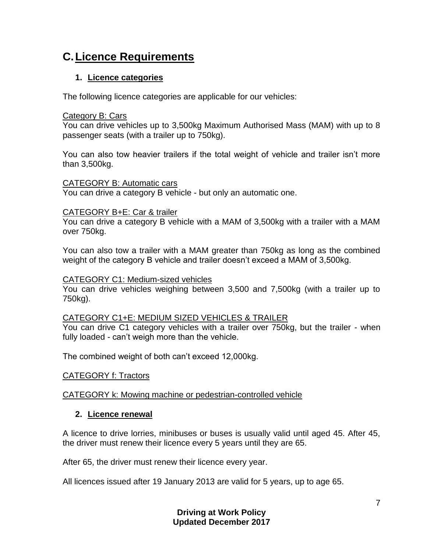## <span id="page-6-0"></span>**C.Licence Requirements**

#### <span id="page-6-1"></span>**1. Licence categories**

The following licence categories are applicable for our vehicles:

#### Category B: Cars

You can drive vehicles up to 3,500kg Maximum Authorised Mass (MAM) with up to 8 passenger seats (with a trailer up to 750kg).

You can also tow heavier trailers if the total weight of vehicle and trailer isn't more than 3,500kg.

#### CATEGORY B: Automatic cars

You can drive a category B vehicle - but only an automatic one.

#### CATEGORY B+E: Car & trailer

You can drive a category B vehicle with a MAM of 3,500kg with a trailer with a MAM over 750kg.

You can also tow a trailer with a MAM greater than 750kg as long as the combined weight of the category B vehicle and trailer doesn't exceed a MAM of 3,500kg.

#### CATEGORY C1: Medium-sized vehicles

You can drive vehicles weighing between 3,500 and 7,500kg (with a trailer up to 750kg).

#### CATEGORY C1+E: MEDIUM SIZED VEHICLES & TRAILER

You can drive C1 category vehicles with a trailer over 750kg, but the trailer - when fully loaded - can't weigh more than the vehicle.

The combined weight of both can't exceed 12,000kg.

#### CATEGORY f: Tractors

#### CATEGORY k: Mowing machine or pedestrian-controlled vehicle

#### <span id="page-6-2"></span>**2. Licence renewal**

A licence to drive lorries, minibuses or buses is usually valid until aged 45. After 45, the driver must renew their licence every 5 years until they are 65.

After 65, the driver must renew their licence every year.

All licences issued after 19 January 2013 are valid for 5 years, up to age 65.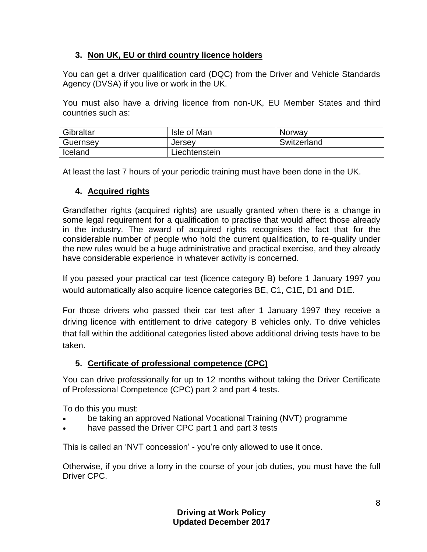### <span id="page-7-0"></span>**3. Non UK, EU or third country licence holders**

You can get a driver qualification card (DQC) from the Driver and Vehicle Standards Agency (DVSA) if you live or work in the UK.

You must also have a driving licence from non-UK, EU Member States and third countries such as:

| Gibraltar | Isle of Man   | Norway      |
|-----------|---------------|-------------|
| Guernsey  | Jersey        | Switzerland |
| Iceland   | Liechtenstein |             |

At least the last 7 hours of your periodic training must have been done in the UK.

### <span id="page-7-1"></span>**4. Acquired rights**

Grandfather rights (acquired rights) are usually granted when there is a change in some legal requirement for a qualification to practise that would affect those already in the industry. The award of acquired rights recognises the fact that for the considerable number of people who hold the current qualification, to re-qualify under the new rules would be a huge administrative and practical exercise, and they already have considerable experience in whatever activity is concerned.

If you passed your practical car test (licence category B) before 1 January 1997 you would automatically also acquire licence categories [BE,](http://www.drivex.co.uk/driving-licence-info/#BE info) [C1,](http://www.drivex.co.uk/driving-licence-info/#C1 info) [C1E,](http://www.drivex.co.uk/driving-licence-info/#C1E info) [D1](http://www.drivex.co.uk/driving-licence-info/#D1 info) and [D1E.](http://www.drivex.co.uk/driving-licence-info/#D1E info)

For those drivers who passed their car test after 1 January 1997 they receive a driving licence with entitlement to drive [category B](http://www.drivex.co.uk/driving-licence-info/#catb) vehicles only. To drive vehicles that fall within the additional categories listed above additional driving tests have to be taken.

### <span id="page-7-2"></span>**5. Certificate of professional competence (CPC)**

You can drive professionally for up to 12 months without taking the Driver Certificate of Professional Competence (CPC) part 2 and part 4 tests.

To do this you must:

- be taking an approved National Vocational Training (NVT) programme
- have passed the Driver CPC part 1 and part 3 tests

This is called an 'NVT concession' - you're only allowed to use it once.

Otherwise, if you drive a lorry in the course of your job duties, you must have the full Driver CPC.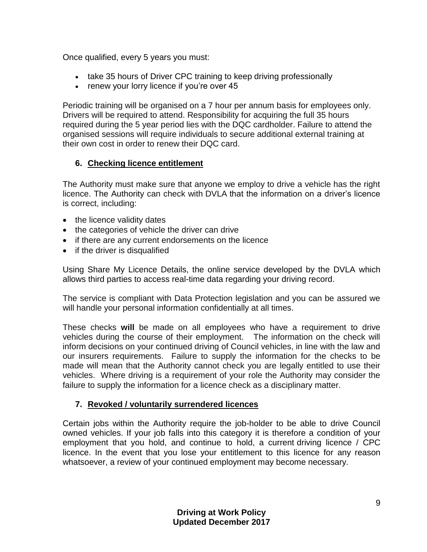Once qualified, every 5 years you must:

- take 35 hours of [Driver CPC training](https://www.gov.uk/driver-cpc-training) to keep driving professionally
- [renew your lorry licence](https://www.gov.uk/driving-licence-renewal-after-45-lorry-minibus-bus) if you're over 45

Periodic training will be organised on a 7 hour per annum basis for employees only. Drivers will be required to attend. Responsibility for acquiring the full 35 hours required during the 5 year period lies with the DQC cardholder. Failure to attend the organised sessions will require individuals to secure additional external training at their own cost in order to renew their DQC card.

#### <span id="page-8-0"></span>**6. Checking licence entitlement**

The Authority must make sure that anyone we employ to drive a vehicle has the right licence. The Authority can check with DVLA that the information on a driver's licence is correct, including:

- the licence validity dates
- the categories of vehicle the driver can drive
- if there are any current endorsements on the licence
- if the driver is disqualified

Using Share My Licence Details, the online service developed by the DVLA which allows third parties to access real-time data regarding your driving record.

The service is compliant with Data Protection legislation and you can be assured we will handle your personal information confidentially at all times.

These checks **will** be made on all employees who have a requirement to drive vehicles during the course of their employment. The information on the check will inform decisions on your continued driving of Council vehicles, in line with the law and our insurers requirements. Failure to supply the information for the checks to be made will mean that the Authority cannot check you are legally entitled to use their vehicles. Where driving is a requirement of your role the Authority may consider the failure to supply the information for a licence check as a disciplinary matter.

#### <span id="page-8-1"></span>**7. Revoked / voluntarily surrendered licences**

Certain jobs within the Authority require the job-holder to be able to drive Council owned vehicles. If your job falls into this category it is therefore a condition of your employment that you hold, and continue to hold, a current driving licence / CPC licence. In the event that you lose your entitlement to this licence for any reason whatsoever, a review of your continued employment may become necessary.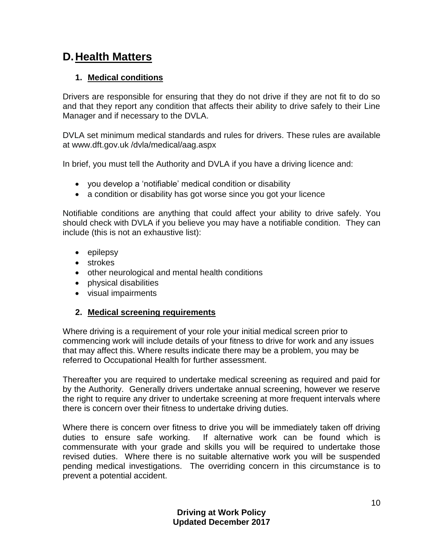## <span id="page-9-0"></span>**D.Health Matters**

#### <span id="page-9-1"></span>**1. Medical conditions**

Drivers are responsible for ensuring that they do not drive if they are not fit to do so and that they report any condition that affects their ability to drive safely to their Line Manager and if necessary to the DVLA.

DVLA set minimum medical standards and rules for drivers. These rules are available at www.dft.gov.uk /dvla/medical/aag.aspx

In brief, you must tell the Authority and DVLA if you have a driving licence and:

- you develop a 'notifiable' medical condition or disability
- a condition or disability has got worse since you got your licence

Notifiable conditions are anything that could affect your ability to drive safely. You should check with DVLA if you believe you may have a notifiable condition. They can include (this is not an exhaustive list):

- epilepsy
- strokes
- other neurological and mental health conditions
- physical disabilities
- visual impairments

#### <span id="page-9-2"></span>**2. Medical screening requirements**

Where driving is a requirement of your role your initial medical screen prior to commencing work will include details of your fitness to drive for work and any issues that may affect this. Where results indicate there may be a problem, you may be referred to Occupational Health for further assessment.

Thereafter you are required to undertake medical screening as required and paid for by the Authority. Generally drivers undertake annual screening, however we reserve the right to require any driver to undertake screening at more frequent intervals where there is concern over their fitness to undertake driving duties.

Where there is concern over fitness to drive you will be immediately taken off driving duties to ensure safe working. If alternative work can be found which is commensurate with your grade and skills you will be required to undertake those revised duties. Where there is no suitable alternative work you will be suspended pending medical investigations. The overriding concern in this circumstance is to prevent a potential accident.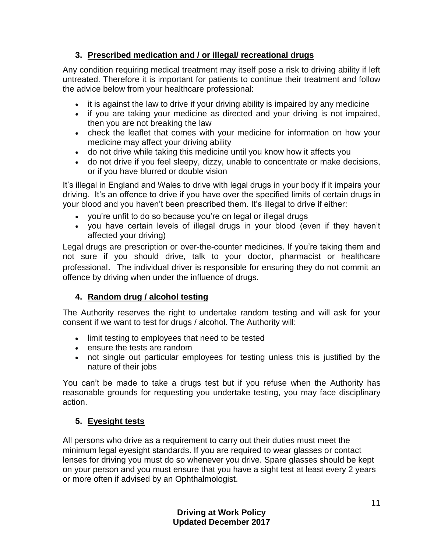## <span id="page-10-0"></span>**3. Prescribed medication and / or illegal/ recreational drugs**

Any condition requiring medical treatment may itself pose a risk to driving ability if left untreated. Therefore it is important for patients to continue their treatment and follow the advice below from your healthcare professional:

- it is against the law to drive if your driving ability is impaired by any medicine
- if you are taking your medicine as directed and your driving is not impaired, then you are not breaking the law
- check the leaflet that comes with your medicine for information on how your medicine may affect your driving ability
- do not drive while taking this medicine until you know how it affects you
- do not drive if you feel sleepy, dizzy, unable to concentrate or make decisions, or if you have blurred or double vision

It's illegal in England and Wales to drive with legal drugs in your body if it impairs your driving. It's an offence to drive if you have over the specified limits of certain drugs in your blood and you haven't been prescribed them. It's illegal to drive if either:

- you're unfit to do so because you're on legal or illegal drugs
- you have certain levels of illegal drugs in your blood (even if they haven't affected your driving)

Legal drugs are prescription or over-the-counter medicines. If you're taking them and not sure if you should drive, talk to your doctor, pharmacist or healthcare professional. The individual driver is responsible for ensuring they do not commit an offence by driving when under the influence of drugs.

### <span id="page-10-1"></span>**4. Random drug / alcohol testing**

The Authority reserves the right to undertake random testing and will ask for your consent if we want to test for drugs / alcohol. The Authority will:

- limit testing to employees that need to be tested
- ensure the tests are random
- not single out particular employees for testing unless this is justified by the nature of their jobs

You can't be made to take a drugs test but if you refuse when the Authority has reasonable grounds for requesting you undertake testing, you may face disciplinary action.

## <span id="page-10-2"></span>**5. Eyesight tests**

All persons who drive as a requirement to carry out their duties must meet the minimum legal eyesight standards. If you are required to wear glasses or contact lenses for driving you must do so whenever you drive. Spare glasses should be kept on your person and you must ensure that you have a sight test at least every 2 years or more often if advised by an Ophthalmologist.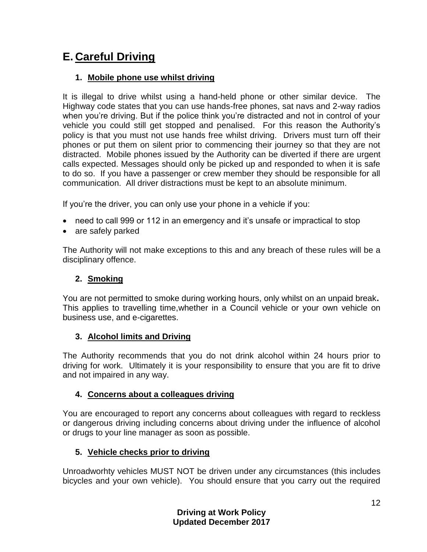## <span id="page-11-0"></span>**E. Careful Driving**

#### <span id="page-11-1"></span>**1. Mobile phone use whilst driving**

It is illegal to drive whilst using a hand-held phone or other similar device. The Highway code states that you can use hands-free phones, sat navs and 2-way radios when you're driving. But if the police think you're distracted and not in control of your vehicle you could still get stopped and penalised. For this reason the Authority's policy is that you must not use hands free whilst driving. Drivers must turn off their phones or put them on silent prior to commencing their journey so that they are not distracted. Mobile phones issued by the Authority can be diverted if there are urgent calls expected. Messages should only be picked up and responded to when it is safe to do so. If you have a passenger or crew member they should be responsible for all communication. All driver distractions must be kept to an absolute minimum.

If you're the driver, you can only use your phone in a vehicle if you:

- need to call 999 or 112 in an emergency and it's unsafe or impractical to stop
- are safely parked

The Authority will not make exceptions to this and any breach of these rules will be a disciplinary offence.

### <span id="page-11-2"></span>**2. Smoking**

You are not permitted to smoke during working hours, only whilst on an unpaid break**.** This applies to travelling time,whether in a Council vehicle or your own vehicle on business use, and e-cigarettes.

#### <span id="page-11-3"></span>**3. Alcohol limits and Driving**

The Authority recommends that you do not drink alcohol within 24 hours prior to driving for work. Ultimately it is your responsibility to ensure that you are fit to drive and not impaired in any way.

#### <span id="page-11-4"></span>**4. Concerns about a colleagues driving**

You are encouraged to report any concerns about colleagues with regard to reckless or dangerous driving including concerns about driving under the influence of alcohol or drugs to your line manager as soon as possible.

### <span id="page-11-5"></span>**5. Vehicle checks prior to driving**

Unroadworhty vehicles MUST NOT be driven under any circumstances (this includes bicycles and your own vehicle). You should ensure that you carry out the required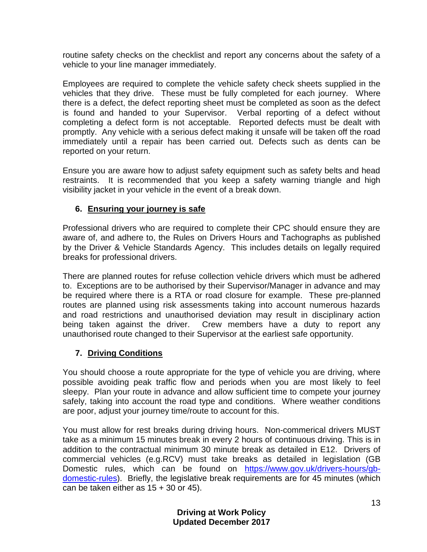routine safety checks on the checklist and report any concerns about the safety of a vehicle to your line manager immediately.

Employees are required to complete the vehicle safety check sheets supplied in the vehicles that they drive. These must be fully completed for each journey. Where there is a defect, the defect reporting sheet must be completed as soon as the defect is found and handed to your Supervisor. Verbal reporting of a defect without completing a defect form is not acceptable. Reported defects must be dealt with promptly. Any vehicle with a serious defect making it unsafe will be taken off the road immediately until a repair has been carried out. Defects such as dents can be reported on your return.

Ensure you are aware how to adjust safety equipment such as safety belts and head restraints. It is recommended that you keep a safety warning triangle and high visibility jacket in your vehicle in the event of a break down.

## <span id="page-12-0"></span>**6. Ensuring your journey is safe**

Professional drivers who are required to complete their CPC should ensure they are aware of, and adhere to, the Rules on Drivers Hours and Tachographs as published by the Driver & Vehicle Standards Agency. This includes details on legally required breaks for professional drivers.

There are planned routes for refuse collection vehicle drivers which must be adhered to. Exceptions are to be authorised by their Supervisor/Manager in advance and may be required where there is a RTA or road closure for example. These pre-planned routes are planned using risk assessments taking into account numerous hazards and road restrictions and unauthorised deviation may result in disciplinary action being taken against the driver. Crew members have a duty to report any unauthorised route changed to their Supervisor at the earliest safe opportunity.

## <span id="page-12-1"></span>**7. Driving Conditions**

You should choose a route appropriate for the type of vehicle you are driving, where possible avoiding peak traffic flow and periods when you are most likely to feel sleepy. Plan your route in advance and allow sufficient time to compete your journey safely, taking into account the road type and conditions. Where weather conditions are poor, adjust your journey time/route to account for this.

You must allow for rest breaks during driving hours. Non-commerical drivers MUST take as a minimum 15 minutes break in every 2 hours of continuous driving. This is in addition to the contractual minimum 30 minute break as detailed in E12. Drivers of commercial vehicles (e.g.RCV) must take breaks as detailed in legislation (GB Domestic rules, which can be found on [https://www.gov.uk/drivers-hours/gb](https://www.gov.uk/drivers-hours/gb-domestic-rules)[domestic-rules\)](https://www.gov.uk/drivers-hours/gb-domestic-rules). Briefly, the legislative break requirements are for 45 minutes (which can be taken either as  $15 + 30$  or  $45$ ).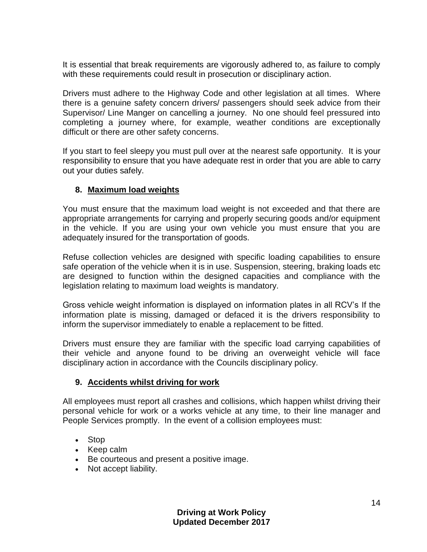It is essential that break requirements are vigorously adhered to, as failure to comply with these requirements could result in prosecution or disciplinary action.

Drivers must adhere to the Highway Code and other legislation at all times. Where there is a genuine safety concern drivers/ passengers should seek advice from their Supervisor/ Line Manger on cancelling a journey. No one should feel pressured into completing a journey where, for example, weather conditions are exceptionally difficult or there are other safety concerns.

If you start to feel sleepy you must pull over at the nearest safe opportunity. It is your responsibility to ensure that you have adequate rest in order that you are able to carry out your duties safely.

#### <span id="page-13-0"></span>**8. Maximum load weights**

You must ensure that the maximum load weight is not exceeded and that there are appropriate arrangements for carrying and properly securing goods and/or equipment in the vehicle. If you are using your own vehicle you must ensure that you are adequately insured for the transportation of goods.

Refuse collection vehicles are designed with specific loading capabilities to ensure safe operation of the vehicle when it is in use. Suspension, steering, braking loads etc are designed to function within the designed capacities and compliance with the legislation relating to maximum load weights is mandatory.

Gross vehicle weight information is displayed on information plates in all RCV's If the information plate is missing, damaged or defaced it is the drivers responsibility to inform the supervisor immediately to enable a replacement to be fitted.

Drivers must ensure they are familiar with the specific load carrying capabilities of their vehicle and anyone found to be driving an overweight vehicle will face disciplinary action in accordance with the Councils disciplinary policy.

#### <span id="page-13-1"></span>**9. Accidents whilst driving for work**

All employees must report all crashes and collisions, which happen whilst driving their personal vehicle for work or a works vehicle at any time, to their line manager and People Services promptly. In the event of a collision employees must:

- Stop
- Keep calm
- Be courteous and present a positive image.
- Not accept liability.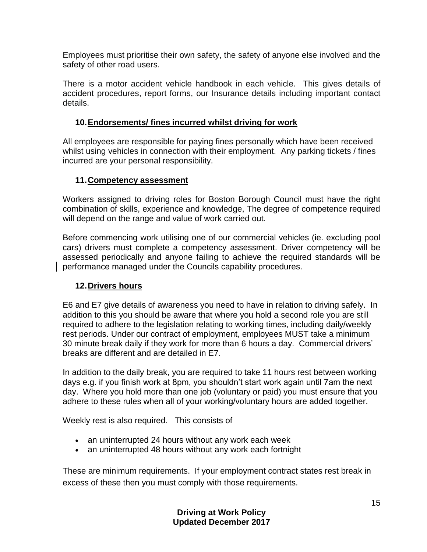Employees must prioritise their own safety, the safety of anyone else involved and the safety of other road users.

There is a motor accident vehicle handbook in each vehicle. This gives details of accident procedures, report forms, our Insurance details including important contact details.

#### <span id="page-14-0"></span>**10.Endorsements/ fines incurred whilst driving for work**

All employees are responsible for paying fines personally which have been received whilst using vehicles in connection with their employment. Any parking tickets / fines incurred are your personal responsibility.

#### <span id="page-14-1"></span>**11.Competency assessment**

Workers assigned to driving roles for Boston Borough Council must have the right combination of skills, experience and knowledge, The degree of competence required will depend on the range and value of work carried out.

Before commencing work utilising one of our commercial vehicles (ie. excluding pool cars) drivers must complete a competency assessment. Driver competency will be assessed periodically and anyone failing to achieve the required standards will be performance managed under the Councils capability procedures.

#### <span id="page-14-2"></span>**12.Drivers hours**

E6 and E7 give details of awareness you need to have in relation to driving safely. In addition to this you should be aware that where you hold a second role you are still required to adhere to the legislation relating to working times, including daily/weekly rest periods. Under our contract of employment, employees MUST take a minimum 30 minute break daily if they work for more than 6 hours a day. Commercial drivers' breaks are different and are detailed in E7.

In addition to the daily break, you are required to take 11 hours rest between working days e.g. if you finish work at 8pm, you shouldn't start work again until 7am the next day. Where you hold more than one job (voluntary or paid) you must ensure that you adhere to these rules when all of your working/voluntary hours are added together.

Weekly rest is also required. This consists of

- an uninterrupted 24 hours without any work each week
- an uninterrupted 48 hours without any work each fortnight

These are minimum requirements. If your employment contract states rest break in excess of these then you must comply with those requirements.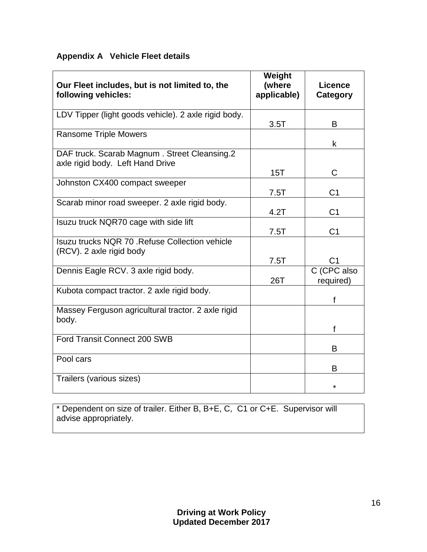#### **Appendix A Vehicle Fleet details**

| Our Fleet includes, but is not limited to, the<br>following vehicles:            | Weight<br>(where<br>applicable) | Licence<br>Category      |
|----------------------------------------------------------------------------------|---------------------------------|--------------------------|
| LDV Tipper (light goods vehicle). 2 axle rigid body.                             | 3.5T                            | B                        |
| <b>Ransome Triple Mowers</b>                                                     |                                 | k                        |
| DAF truck. Scarab Magnum. Street Cleansing.2<br>axle rigid body. Left Hand Drive |                                 |                          |
|                                                                                  | 15T                             | C                        |
| Johnston CX400 compact sweeper                                                   | 7.5T                            | C <sub>1</sub>           |
| Scarab minor road sweeper. 2 axle rigid body.                                    | 4.2T                            | C <sub>1</sub>           |
| Isuzu truck NQR70 cage with side lift                                            | 7.5T                            | C <sub>1</sub>           |
| Isuzu trucks NQR 70 . Refuse Collection vehicle<br>(RCV). 2 axle rigid body      |                                 |                          |
|                                                                                  | 7.5T                            | C1                       |
| Dennis Eagle RCV. 3 axle rigid body.                                             | 26T                             | C (CPC also<br>required) |
| Kubota compact tractor. 2 axle rigid body.                                       |                                 |                          |
| Massey Ferguson agricultural tractor. 2 axle rigid<br>body.                      |                                 |                          |
|                                                                                  |                                 | f                        |
| Ford Transit Connect 200 SWB                                                     |                                 | B                        |
| Pool cars                                                                        |                                 | В                        |
| Trailers (various sizes)                                                         |                                 | $\star$                  |

\* Dependent on size of trailer. Either B, B+E, C, C1 or C+E. Supervisor will advise appropriately.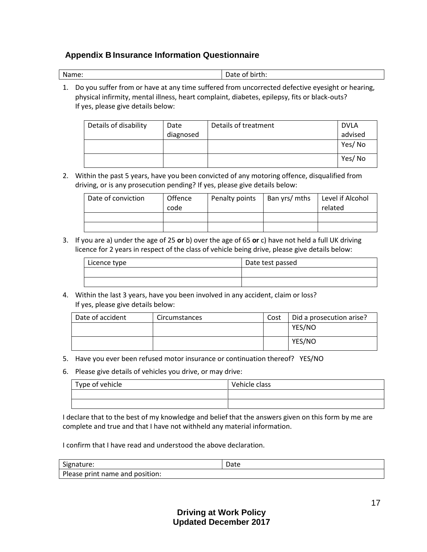#### **Appendix B Insurance Information Questionnaire**

| Name: | Date of birth: |
|-------|----------------|
|       |                |

1. Do you suffer from or have at any time suffered from uncorrected defective eyesight or hearing, physical infirmity, mental illness, heart complaint, diabetes, epilepsy, fits or black-outs? If yes, please give details below:

| Details of disability | Date      | Details of treatment | <b>DVLA</b> |
|-----------------------|-----------|----------------------|-------------|
|                       | diagnosed |                      | advised     |
|                       |           |                      | Yes/No      |
|                       |           |                      | Yes/No      |

2. Within the past 5 years, have you been convicted of any motoring offence, disqualified from driving, or is any prosecution pending? If yes, please give details below:

| Date of conviction | <b>Offence</b><br>code | Penalty points | Ban yrs/ mths | Level if Alcohol<br>related |
|--------------------|------------------------|----------------|---------------|-----------------------------|
|                    |                        |                |               |                             |
|                    |                        |                |               |                             |

3. If you are a) under the age of 25 **or** b) over the age of 65 **or** c) have not held a full UK driving licence for 2 years in respect of the class of vehicle being drive, please give details below:

| Licence type | Date test passed |
|--------------|------------------|
|              |                  |
|              |                  |

4. Within the last 3 years, have you been involved in any accident, claim or loss? If yes, please give details below:

| Date of accident | Circumstances | Cost | Did a prosecution arise? |
|------------------|---------------|------|--------------------------|
|                  |               |      | YES/NO                   |
|                  |               |      | YES/NO                   |

- 5. Have you ever been refused motor insurance or continuation thereof? YES/NO
- 6. Please give details of vehicles you drive, or may drive:

| Type of vehicle | Vehicle class |
|-----------------|---------------|
|                 |               |
|                 |               |

I declare that to the best of my knowledge and belief that the answers given on this form by me are complete and true and that I have not withheld any material information.

I confirm that I have read and understood the above declaration.

| Signature:                      | Date |
|---------------------------------|------|
| Please print name and position: |      |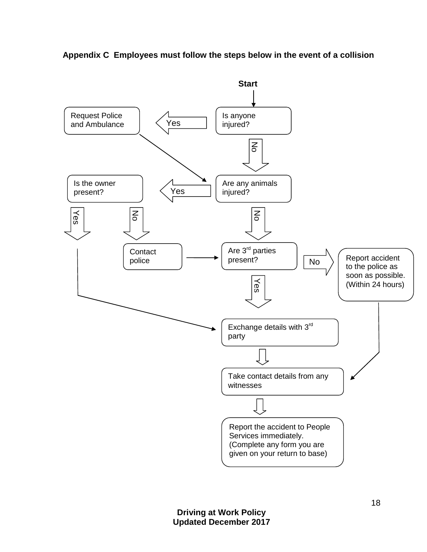**Appendix C Employees must follow the steps below in the event of a collision**

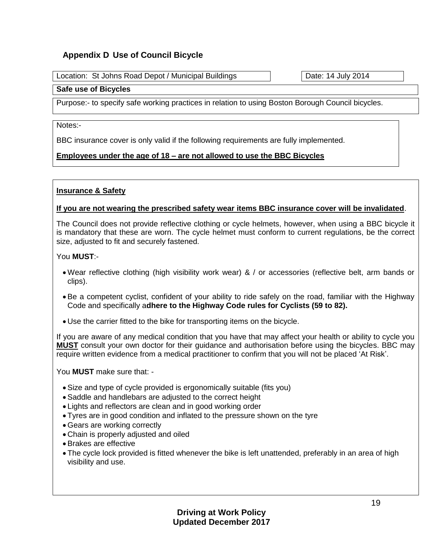#### **Appendix D Use of Council Bicycle**

Location: St Johns Road Depot / Municipal Buildings **Date: 14 July 2014** 

#### **Safe use of Bicycles**

Purpose:- to specify safe working practices in relation to using Boston Borough Council bicycles.

Notes:-

BBC insurance cover is only valid if the following requirements are fully implemented.

#### **Employees under the age of 18 – are not allowed to use the BBC Bicycles**

#### **Insurance & Safety**

#### **If you are not wearing the prescribed safety wear items BBC insurance cover will be invalidated**.

The Council does not provide reflective clothing or cycle helmets, however, when using a BBC bicycle it is mandatory that these are worn. The cycle helmet must conform to current regulations, be the correct size, adjusted to fit and securely fastened.

#### You **MUST**:-

- Wear reflective clothing (high visibility work wear) & / or accessories (reflective belt, arm bands or clips).
- Be a competent cyclist, confident of your ability to ride safely on the road, familiar with the Highway Code and specifically a**dhere to the Highway Code rules for Cyclists (59 to 82).**
- Use the carrier fitted to the bike for transporting items on the bicycle.

If you are aware of any medical condition that you have that may affect your health or ability to cycle you **MUST** consult your own doctor for their guidance and authorisation before using the bicycles. BBC may require written evidence from a medical practitioner to confirm that you will not be placed 'At Risk'.

You **MUST** make sure that: -

- Size and type of cycle provided is ergonomically suitable (fits you)
- Saddle and handlebars are adjusted to the correct height
- Lights and reflectors are clean and in good working order
- Tyres are in good condition and inflated to the pressure shown on the tyre
- Gears are working correctly
- Chain is properly adjusted and oiled
- Brakes are effective
- The cycle lock provided is fitted whenever the bike is left unattended, preferably in an area of high visibility and use.